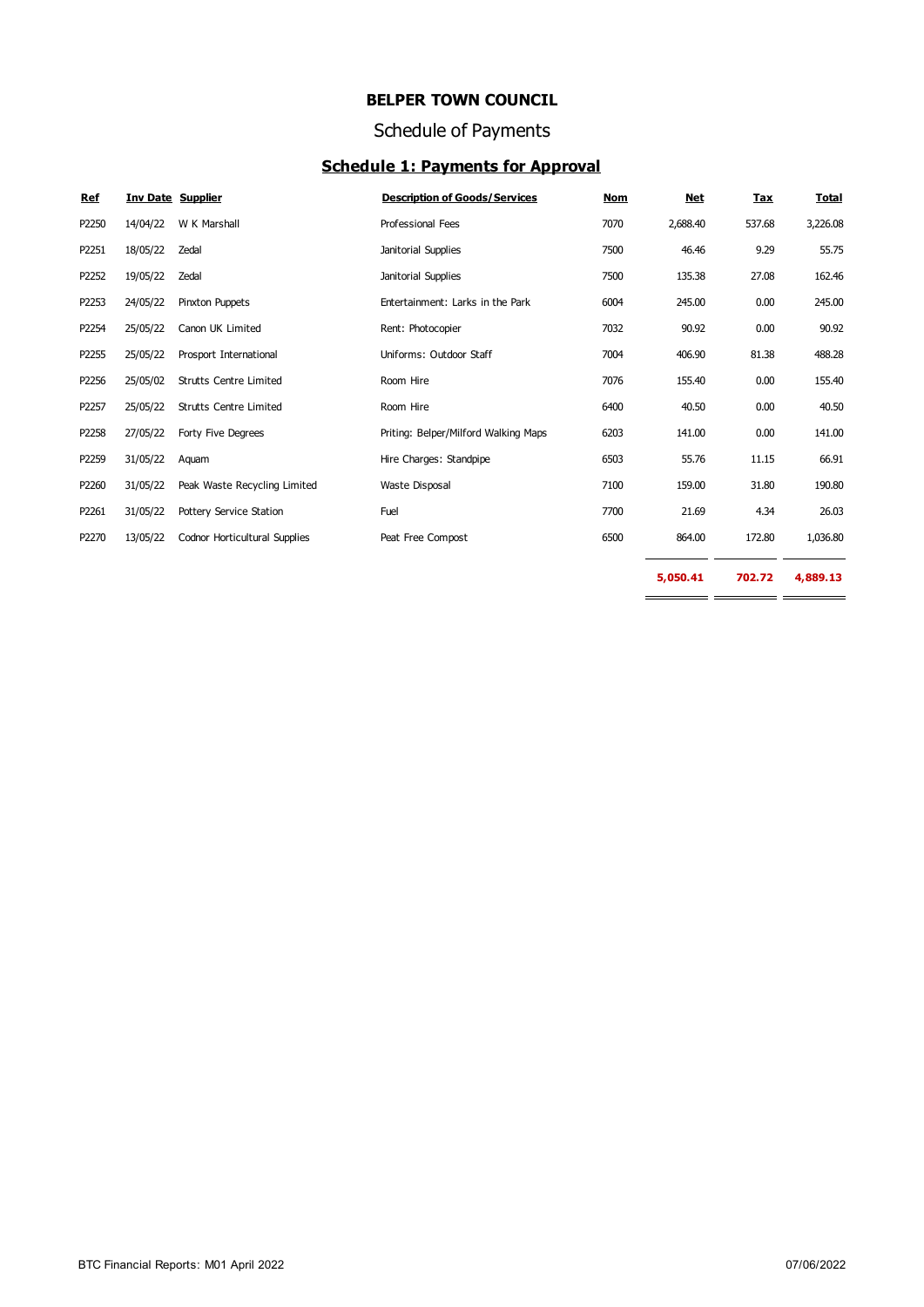## Schedule of Payments

## **Schedule 1: Payments for Approval**

| <b>Ref</b> |          | <b>Inv Date Supplier</b>      | <b>Description of Goods/Services</b> | <b>Nom</b> | <b>Net</b> | <b>Tax</b> | <b>Total</b> |
|------------|----------|-------------------------------|--------------------------------------|------------|------------|------------|--------------|
| P2250      | 14/04/22 | W K Marshall                  | Professional Fees                    | 7070       | 2,688.40   | 537.68     | 3,226.08     |
| P2251      | 18/05/22 | Zedal                         | Janitorial Supplies                  | 7500       | 46.46      | 9.29       | 55.75        |
| P2252      | 19/05/22 | Zedal                         | Janitorial Supplies                  | 7500       | 135.38     | 27.08      | 162.46       |
| P2253      | 24/05/22 | Pinxton Puppets               | Entertainment: Larks in the Park     | 6004       | 245.00     | 0.00       | 245.00       |
| P2254      | 25/05/22 | Canon UK Limited              | Rent: Photocopier                    | 7032       | 90.92      | 0.00       | 90.92        |
| P2255      | 25/05/22 | Prosport International        | Uniforms: Outdoor Staff              | 7004       | 406.90     | 81.38      | 488.28       |
| P2256      | 25/05/02 | <b>Strutts Centre Limited</b> | Room Hire                            | 7076       | 155.40     | 0.00       | 155.40       |
| P2257      | 25/05/22 | <b>Strutts Centre Limited</b> | Room Hire                            | 6400       | 40.50      | 0.00       | 40.50        |
| P2258      | 27/05/22 | Forty Five Degrees            | Priting: Belper/Milford Walking Maps | 6203       | 141.00     | 0.00       | 141.00       |
| P2259      | 31/05/22 | Aquam                         | Hire Charges: Standpipe              | 6503       | 55.76      | 11.15      | 66.91        |
| P2260      | 31/05/22 | Peak Waste Recycling Limited  | Waste Disposal                       | 7100       | 159.00     | 31.80      | 190.80       |
| P2261      | 31/05/22 | Pottery Service Station       | Fuel                                 | 7700       | 21.69      | 4.34       | 26.03        |
| P2270      | 13/05/22 | Codnor Horticultural Supplies | Peat Free Compost                    | 6500       | 864.00     | 172.80     | 1,036.80     |
|            |          |                               |                                      |            | 5,050.41   | 702.72     | 4,889.13     |

- -

 $\equiv$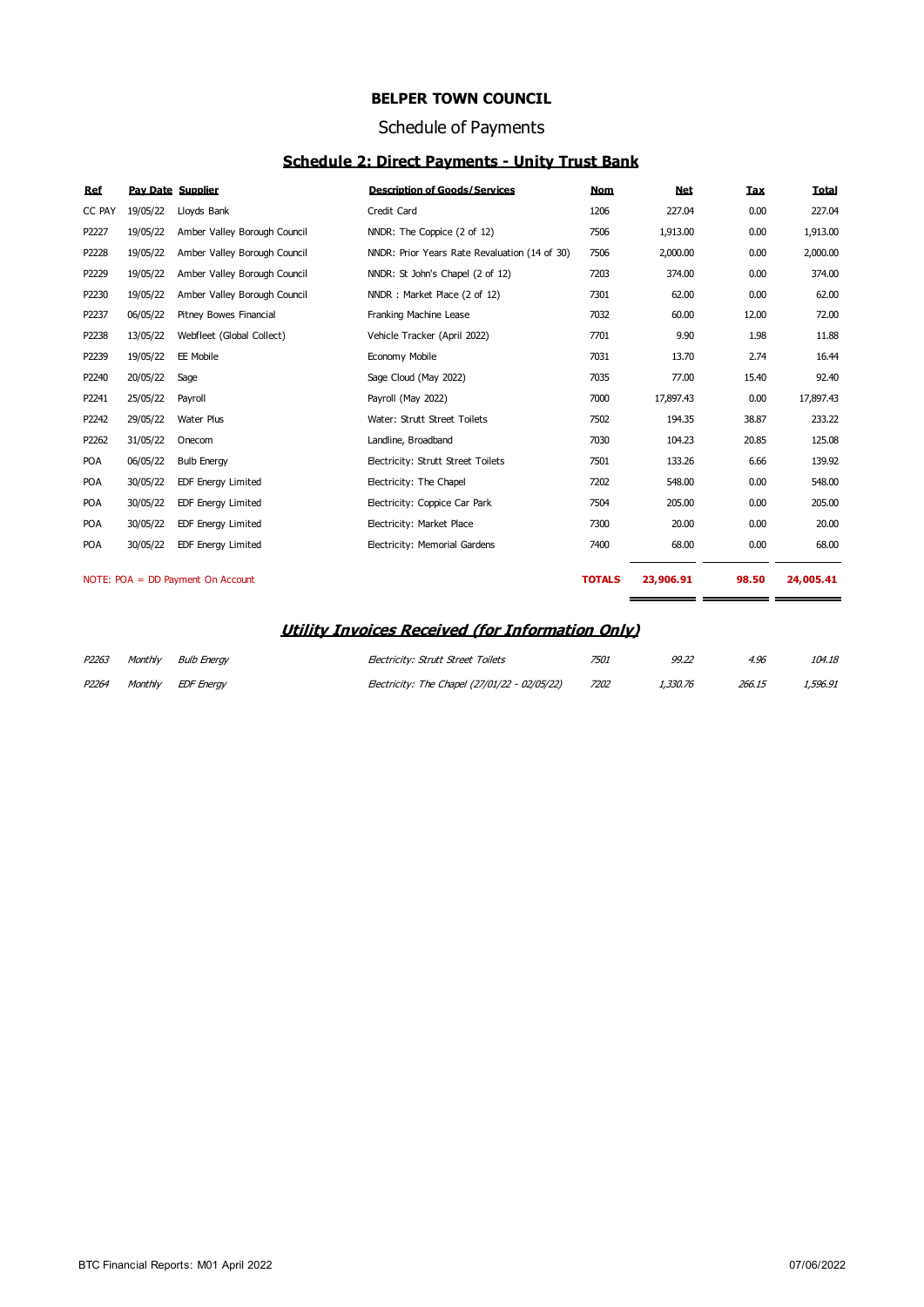#### Schedule of Payments

## **Schedule 2: Direct Payments - Unity Trust Bank**

| Ref        | <b>Pav Date Supplier</b> |                                     | <b>Description of Goods/Services</b>          | <b>Nom</b>    | <b>Net</b> | <b>Tax</b>         | Total     |
|------------|--------------------------|-------------------------------------|-----------------------------------------------|---------------|------------|--------------------|-----------|
| CC PAY     | 19/05/22                 | Lloyds Bank                         | Credit Card                                   | 1206          | 227.04     | 0.00               | 227.04    |
| P2227      | 19/05/22                 | Amber Valley Borough Council        | NNDR: The Coppice (2 of 12)                   | 7506          | 1,913.00   | 0.00               | 1,913.00  |
| P2228      | 19/05/22                 | Amber Valley Borough Council        | NNDR: Prior Years Rate Revaluation (14 of 30) | 7506          | 2,000.00   | 0.00               | 2,000.00  |
| P2229      | 19/05/22                 | Amber Valley Borough Council        | NNDR: St John's Chapel (2 of 12)              | 7203          | 374.00     | 0.00               | 374.00    |
| P2230      | 19/05/22                 | Amber Valley Borough Council        | NNDR: Market Place (2 of 12)                  | 7301          | 62.00      | 0.00               | 62.00     |
| P2237      | 06/05/22                 | Pitney Bowes Financial              | Franking Machine Lease                        | 7032          | 60.00      | 12.00              | 72.00     |
| P2238      | 13/05/22                 | Webfleet (Global Collect)           | Vehicle Tracker (April 2022)                  | 7701          | 9.90       | 1.98               | 11.88     |
| P2239      | 19/05/22                 | EE Mobile                           | Economy Mobile                                | 7031          | 13.70      | 2.74               | 16.44     |
| P2240      | 20/05/22                 | Sage                                | Sage Cloud (May 2022)                         | 7035          | 77.00      | 15.40              | 92.40     |
| P2241      | 25/05/22                 | Payroll                             | Payroll (May 2022)                            | 7000          | 17,897.43  | 0.00               | 17,897.43 |
| P2242      | 29/05/22                 | Water Plus                          | Water: Strutt Street Toilets                  | 7502          | 194.35     | 38.87              | 233.22    |
| P2262      | 31/05/22                 | Onecom                              | Landline, Broadband                           | 7030          | 104.23     | 20.85              | 125.08    |
| POA        | 06/05/22                 | <b>Bulb Energy</b>                  | Electricity: Strutt Street Toilets            | 7501          | 133.26     | 6.66               | 139.92    |
| <b>POA</b> | 30/05/22                 | <b>EDF Energy Limited</b>           | Electricity: The Chapel                       | 7202          | 548.00     | 0.00               | 548.00    |
| <b>POA</b> | 30/05/22                 | <b>EDF Energy Limited</b>           | Electricity: Coppice Car Park                 | 7504          | 205.00     | 0.00               | 205.00    |
| <b>POA</b> | 30/05/22                 | <b>EDF Energy Limited</b>           | Electricity: Market Place                     | 7300          | 20.00      | 0.00               | 20.00     |
| <b>POA</b> | 30/05/22                 | <b>EDF Energy Limited</b>           | Electricity: Memorial Gardens                 | 7400          | 68.00      | 0.00               | 68.00     |
|            |                          |                                     |                                               |               |            |                    |           |
|            |                          | NOTE: $POA = DD$ Payment On Account |                                               | <b>TOTALS</b> | 23,906.91  | 98.50<br>_________ | 24,005.41 |

#### **Utility Invoices Received (for Information Only)**

| P2263 | Monthly Bulb Eneray | Electricity: Strutt Street Toilets            | 7501 | 99.22    | 4.96   | 104.18   |
|-------|---------------------|-----------------------------------------------|------|----------|--------|----------|
| P2264 | Monthly EDF Eneray  | Electricity: The Chapel (27/01/22 - 02/05/22) | 7202 | 1,330,76 | 266.15 | 1,596.91 |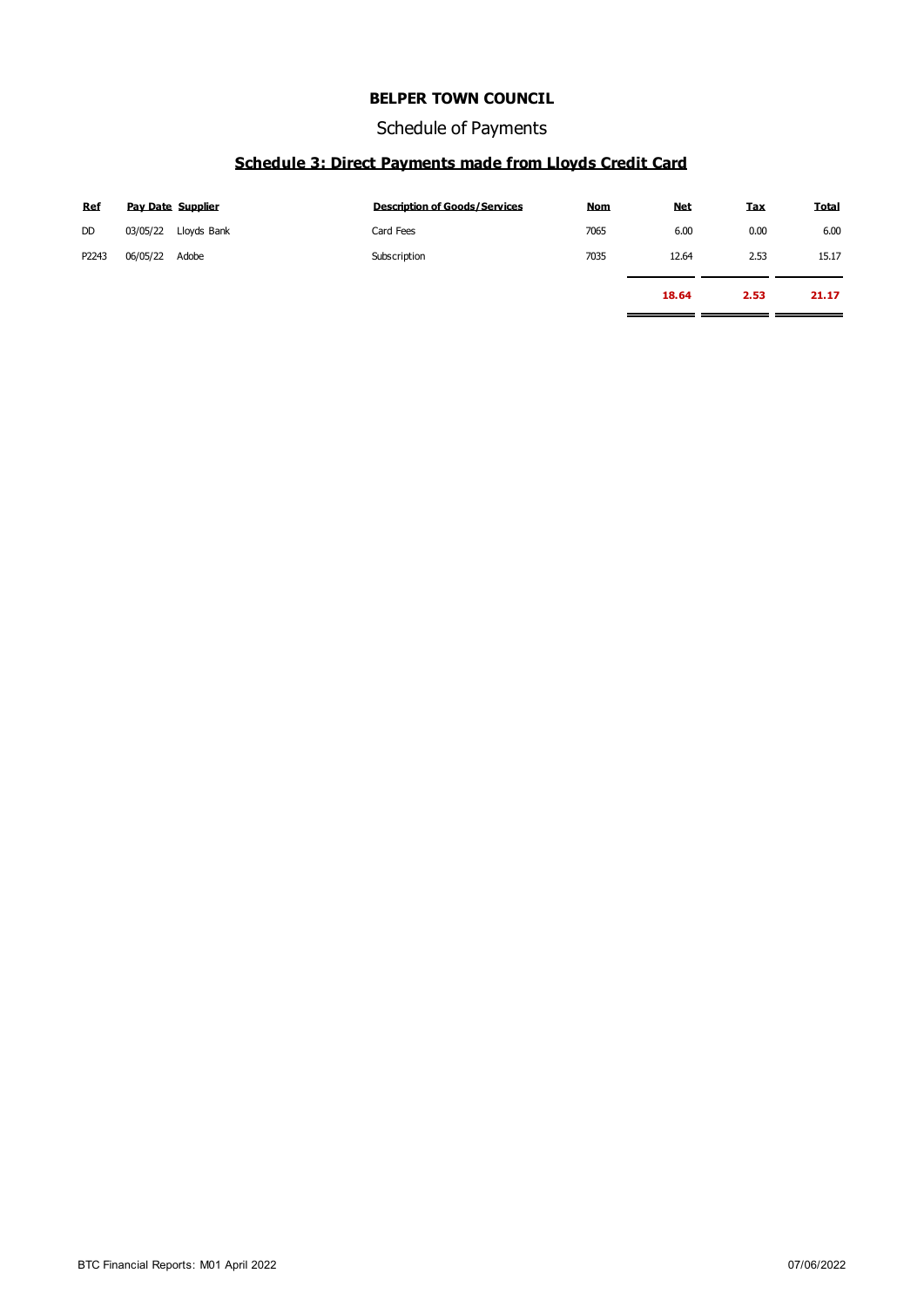Schedule of Payments

## **Schedule 3: Direct Payments made from Lloyds Credit Card**

| Ref       |          | <b>Pav Date Supplier</b> | <b>Description of Goods/Services</b> | <b>Nom</b> | <b>Net</b> | Tax  | <b>Total</b> |
|-----------|----------|--------------------------|--------------------------------------|------------|------------|------|--------------|
| <b>DD</b> | 03/05/22 | Lloyds Bank              | Card Fees                            | 7065       | 6.00       | 0.00 | 6.00         |
| P2243     | 06/05/22 | Adobe                    | Subscription                         | 7035       | 12.64      | 2.53 | 15.17        |
|           |          |                          |                                      |            | 18.64      | 2.53 | 21.17        |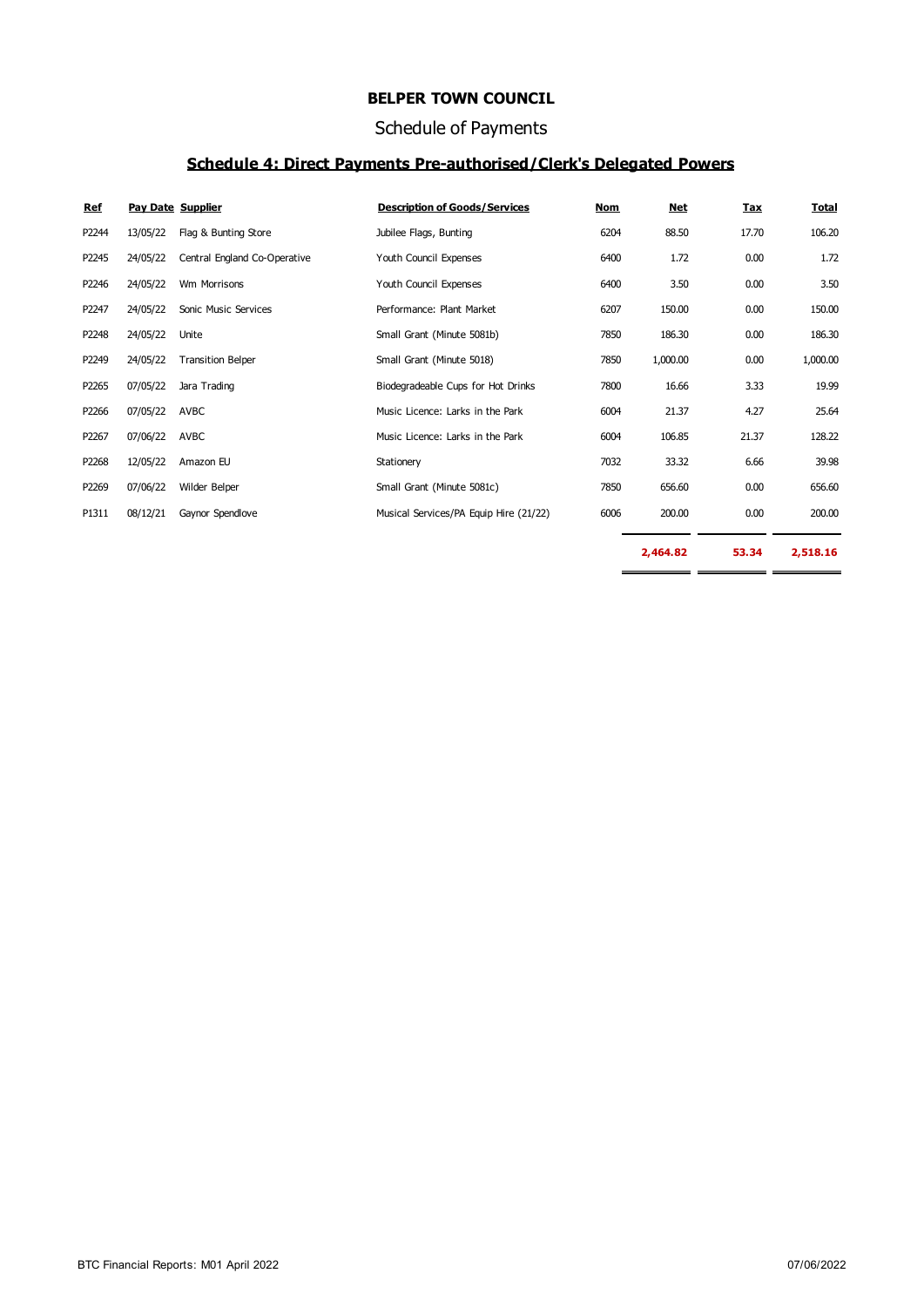#### Schedule of Payments

#### **Schedule 4: Direct Payments Pre-authorised/Clerk's Delegated Powers**

| Ref   |          | <b>Pav Date Supplier</b>     | <b>Description of Goods/Services</b>   | <b>Nom</b> | <b>Net</b> | <b>Tax</b> | <b>Total</b> |
|-------|----------|------------------------------|----------------------------------------|------------|------------|------------|--------------|
| P2244 | 13/05/22 | Flag & Bunting Store         | Jubilee Flags, Bunting                 | 6204       | 88.50      | 17.70      | 106.20       |
| P2245 | 24/05/22 | Central England Co-Operative | Youth Council Expenses                 | 6400       | 1.72       | 0.00       | 1.72         |
| P2246 | 24/05/22 | Wm Morrisons                 | Youth Council Expenses                 | 6400       | 3.50       | 0.00       | 3.50         |
| P2247 | 24/05/22 | Sonic Music Services         | Performance: Plant Market              | 6207       | 150.00     | 0.00       | 150.00       |
| P2248 | 24/05/22 | Unite                        | Small Grant (Minute 5081b)             | 7850       | 186.30     | 0.00       | 186.30       |
| P2249 | 24/05/22 | <b>Transition Belper</b>     | Small Grant (Minute 5018)              | 7850       | 1,000.00   | 0.00       | 1,000.00     |
| P2265 | 07/05/22 | Jara Trading                 | Biodegradeable Cups for Hot Drinks     | 7800       | 16.66      | 3.33       | 19.99        |
| P2266 | 07/05/22 | AVBC                         | Music Licence: Larks in the Park       | 6004       | 21.37      | 4.27       | 25.64        |
| P2267 | 07/06/22 | AVBC                         | Music Licence: Larks in the Park       | 6004       | 106.85     | 21.37      | 128.22       |
| P2268 | 12/05/22 | Amazon EU                    | Stationery                             | 7032       | 33.32      | 6.66       | 39.98        |
| P2269 | 07/06/22 | Wilder Belper                | Small Grant (Minute 5081c)             | 7850       | 656.60     | 0.00       | 656.60       |
| P1311 | 08/12/21 | Gaynor Spendlove             | Musical Services/PA Equip Hire (21/22) | 6006       | 200.00     | 0.00       | 200.00       |
|       |          |                              |                                        |            | 2,464.82   | 53.34      | 2,518.16     |